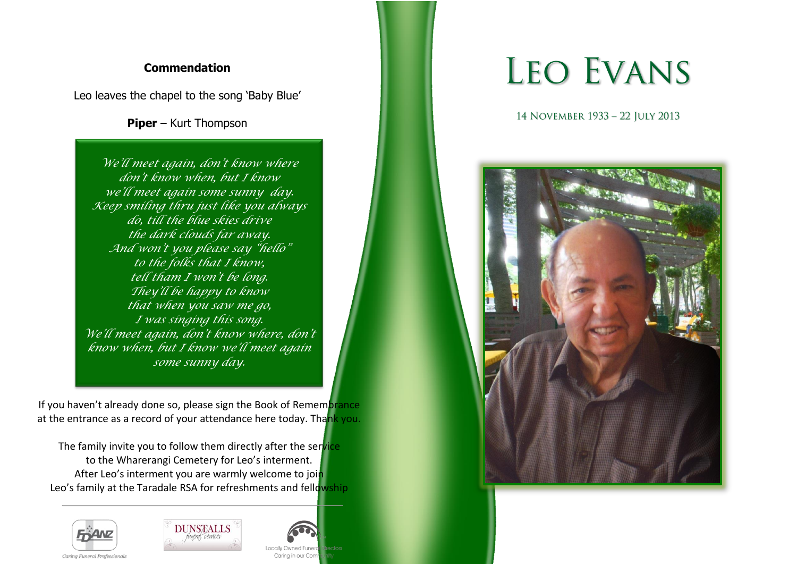### **Commendation**

Leo leaves the chapel to the song 'Baby Blue'

**Piper** – Kurt Thompson

*We'll meet again, don't know where don't know when, but I know we'll meet again some sunny day. Keep smiling thru just like you always do, till the blue skies drive the dark clouds far away. And won't you please say "hello" to the folks that <sup>I</sup> know, tell tham <sup>I</sup> won't be long. They'll be happy to know that when you saw me go, <sup>I</sup> was singing this song. We'll meet again, don't know where, don't know when, but <sup>I</sup> know we'll meet again some sunny day.*

If you haven't already done so, please sign the Book of Remembrance at the entrance as a record of your attendance here today. Thank you.

The family invite you to follow them directly after the service to the Wharerangi Cemetery for Leo's interment. After Leo's interment you are warmly welcome to join Leo's family at the Taradale RSA for refreshments and fellowship





Locally Owned Fun

Caring in our Con



14 NOVEMBER 1933 - 22 JULY 2013